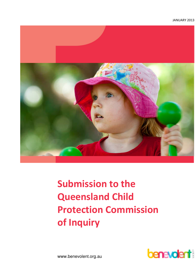

# Submission to the Queensland Child Protection Commission of Inquiry



www.benevolent.org.au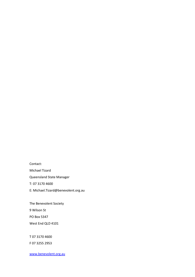Contact: Michael Tizard Queensland State Manager T: 07 3170 4600 E: Michael.Tizard@benevolent.org.au

The Benevolent Society

9 Wilson St

PO Box 5347

West End QLD 4101

T 07 3170 4600

F 07 3255 2953

www.benevolent.org.au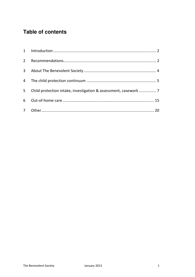# **Table of contents**

| $2^{\circ}$    |                                                                  |  |
|----------------|------------------------------------------------------------------|--|
| 3 <sup>7</sup> |                                                                  |  |
|                |                                                                  |  |
| 5 <sup>7</sup> | Child protection intake, investigation & assessment, casework  7 |  |
|                |                                                                  |  |
|                |                                                                  |  |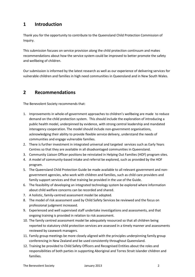# 1 Introduction

Thank you for the opportunity to contribute to the Queensland Child Protection Commission of Inquiry.

This submission focuses on service provision along the child protection continuum and makes recommendations about how the service system could be improved to better promote the safety and wellbeing of children.

Our submission is informed by the latest research as well as our experience of delivering services for vulnerable children and families in high need communities in Queensland and in New South Wales.

# 2 Recommendations

The Benevolent Society recommends that:

- 1. Improvements in whole-of-government approaches to children's wellbeing are made to reduce demand on the child protection system. This should include the exploration of introducing a public health model, underpinned by evidence, with strong central leadership and mandated interagency cooperation. The model should include non-government organisations, acknowledging their ability to provide flexible service delivery, understand the needs of communities and engage vulnerable families.
- 2. There is further investment in integrated universal and targeted services such as Early Years Centres so that they are available in all disadvantaged communities in Queensland.
- 3. Community Liaison Officer positions be reinstated in Helping Out Families (HOF) program sites.
- 4. A model of community-based intake and referral be explored, such as provided by the HOF program.
- 5. The Queensland Child Protection Guide be made available to all relevant government and nongovernment agencies, who work with children and families, such as child care providers and family support services and that training be provided in the use of the Guide.
- 6. The feasibility of developing an integrated technology system be explored where information about child welfare concerns can be recorded and shared.
- 7. A holistic, family-centred assessment model be adopted.
- 8. The model of risk assessment used by Child Safety Services be reviewed and the focus on professional judgment increased.
- 9. Experienced and well supervised staff undertake investigations and assessments, and that ongoing training is provided in relation to risk assessment.
- 10. The family centred assessment model be adequately resourced so that all children being reported to statutory child protection services are assessed in a timely manner and assessments reviewed by casework managers.
- 11. Family group meetings be more closely aligned with the principles underpinning family group conferencing in New Zealand and be used consistently throughout Queensland.
- 12. Training be provided to Child Safety Officers and Recognised Entities about the roles and responsibilities of both parties in supporting Aboriginal and Torres Strait Islander children and families.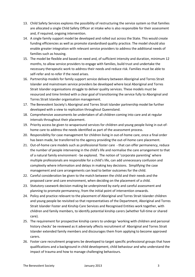- 13. Child Safety Services explores the possibility of restructuring the service system so that families are allocated a single Child Safety Officer at intake who is also responsible for their assessment and, if required, ongoing intervention.
- 14. A single family support model be developed and rolled out across the State. This would create funding efficiencies as well as promote standardised quality practice. The model should also enable greater integration with relevant service providers to address the additional needs of families such as housing.
- 15. The model be flexible and based on need and, of sufficient intensity and duration, minimum 12 months, to allow service providers to engage with families, build trust and undertake the necessary therapeutic work to address their needs and reduce risk. Families must be able to self-refer and re-refer if the need arises.
- 16. Partnership models for family support service delivery between Aboriginal and Torres Strait Islander and mainstream service providers be developed where local Aboriginal and Torres Strait Islander organisations struggle to deliver quality services. These models must be resourced and time limited with a clear goal of transitioning the service fully to Aboriginal and Torres Strait Islander organisation management.
- 17. The Benevolent Society's Aboriginal and Torres Strait Islander partnership model be further developed with a view to replication throughout Queensland.
- 18. Comprehensive assessments be undertaken of all children coming into care and at regular intervals throughout their placement.
- 19. Priority access be given to wraparound services for children and young people living in out-ofhome care to address the needs identified as part of the assessment process.
- 20. Responsibility for case management for children living in out-of-home care, once a final order has been made, be transferred to the agency providing the out-of-home care placement.
- 21. Out-of-home care models such as professional foster care that can offer permanency, reduce the number of people intervening in the child's life and normalise the care arrangement to that of a natural family environment - be explored. The notion of 'corporate parenting' where multiple professionals are responsible for a child's life, can add unnecessary confusion and complexity where information and delays in making key decisions. Simplifying the case management and care arrangements can lead to better outcomes for the child.
- 22. Careful consideration be given to the match between the child and their needs and the proposed carer and care environment, when deciding on the placement of a child.
- 23. Statutory casework decision making be underpinned by early and careful assessment and planning to promote permanency, from the initial point of intervention onwards.
- 24. Policy and practice relevant to the placement of Aboriginal and Torres Strait Islander children and young people be revisited so that representatives of the Department, Aboriginal and Torres Strait Islander Foster and Kinship Care Services and Recognised Entities work together, with children and family members, to identify potential kinship carers (whether full-time or shared care).
- 25. The requirement for prospective kinship carers to undergo 'working with children and personal history checks' be reviewed as it adversely affects recruitment of Aboriginal and Torres Strait Islander extended family members and discourages them from applying to become approved carers.
- 26. Foster care recruitment programs be developed to target specific professional groups that have qualifications and a background in child development, child behaviour and who understand the impact of trauma and how to manage challenging behaviours.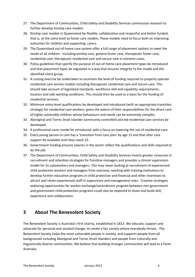- 27. The Department of Communities, Child Safety and Disability Services commission research to further develop kinship care models.
- 28. Kinship care models in Queensland be flexible, collaborative and respectful and better funded, that is, at the same level as foster care models. These models need to focus both on improving outcomes for children and supporting carers.
- 29. The Queensland out-of-home care system offer a full range of placement options to meet the needs of all children - including kinship care, general foster care, therapeutic foster care, residential care, therapeutic residential care and secure care in extreme cases.
- 30. Policy guidelines that specify the purpose of out-of-home care placement types be introduced and that placement types be regulated in a way that ensures integrity to the model and the identified client group.
- 31. A costing exercise be undertaken to ascertain the level of funding required to properly operate residential care service models including therapeutic residential care and secure care. This should take account of legislated standards, workforce skill and capability requirements, location and safe working conditions. This should then be used as a basis for the funding of residential services.
- 32. Minimum entry-level qualifications be developed and introduced (with an appropriate transition strategy) for residential care workers, given the extent of their responsibilities for the direct care of highly vulnerable children whose behaviours and needs can be extremely complex.
- 33. Aboriginal and Torres Strait Islander community-controlled and led residential care services be developed.
- 34. A professional carer model be introduced, with a focus on lowering the use of residential care.
- 35. Every young person in care has a 'transition from care plan' by age 15 and that after care support be available until they reach 25.
- 36. Government funding ensures salaries in the sector reflect the qualifications and skills required to do the job.
- 37. The Department of Communities, Child Safety and Disability Services invests greater resources in recruitment and retention strategies for frontline managers and provides a clinical supervision model for its caseworkers and managers. This may mean looking at recruitment of experienced child protection workers and managers from overseas, working with training institutions to develop further education programs in child protection and financial and other incentives to attract and retain experienced staff in supervisory and management roles. Creative strategies exploring opportunities for worker exchange/secondment program between non-government and government child protection programs could also be explored to share and build skill, experience and collaboration.

# 3 About The Benevolent Society

The Benevolent Society is Australia's first charity, established in 1813. We educate, support and advocate for personal and societal change, to create a fair society where everybody thrives. The Benevolent Society helps the most vulnerable people in society, and supports people from all backgrounds including Aboriginal and Torres Strait Islanders and people from culturally and linguistically diverse communities. We believe that building stronger communities will lead to a fairer Australia.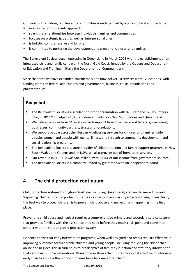Our work with children, families and communities is underpinned by a philosophical approach that:

- uses a strengths or assets approach
- strengthens relationships between individuals, families and communities
- focuses on systemic issues, as well as interpersonal ones
- **EXEC** is holistic, comprehensive and long-term
- is committed to nurturing the development and growth of children and families.

The Benevolent Society began operating in Queensland in March 2008 with the establishment of an integrated child and family centre on the North Gold Coast, funded by the Queensland Department of Education and Training (initially the Department of Communities).

Since that time we have expanded considerably and now deliver 10 services from 12 locations, with funding from the federal and Queensland governments, business, trusts, foundations and philanthropists.

# **Snapshot**

- The Benevolent Society is a secular non-profit organisation with 870 staff and 720 volunteers who, in 2011/12, helped 61,000 children and adults in New South Wales and Queensland.
- We deliver services from 64 locations with support from local, state and federal government, businesses, community partners, trusts and foundations.
- We support people across the lifespan delivering services for children and families, older people, women and people with mental illness, and through to community development and social leadership programs.
- The Benevolent Society is a large provider of child protection and family support programs in New South Wales and Queensland. In NSW, we also provide out-of-home care services.
- Our revenue in 2011/12 was \$84 million, with 81.4% of our income from government sources.
- The Benevolent Society is a company limited by guarantee with an independent Board.

# 4 The child protection continuum

Child protection systems throughout Australia, including Queensland, are heavily geared towards 'reporting' children to child protection services as the primary way of protecting them, when clearly the best way to protect children is to prevent child abuse and neglect from happening in the first place.

Preventing child abuse and neglect requires a comprehensive primary and secondary service system that provides families with the assistance they need before they reach crisis point and come into contact with the statutory child protection system.<sup>1</sup>

Evidence shows that early intervention programs, when well designed and resourced, are effective in improving outcomes for vulnerable children and young people, including reducing the risk of child abuse and neglect. This in turn helps to break cycles of family dysfunction and statutory intervention that can span multiple generations. Research also shows that it is far more cost effective to intervene early than to address them once problems have become entrenched.<sup>"</sup>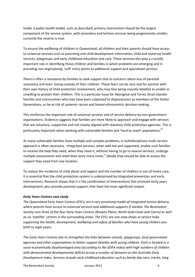Under a public health model, such as described, primary intervention should be the largest component of the service system, with secondary and tertiary services being progressively smaller; currently the reverse is true.

To ensure the wellbeing of children in Queensland, all children and their parents should have access to universal services such as parenting and child development information, child and maternal health services, playgroups and early childhood education and care. These services also play a crucially important role in identifying those children and families in which problems are emerging and in providing non-stigmatising, 'soft' entry points to additional support and specialised services.

There is often a resistance by families to seek support due to concerns about loss of parental autonomy and even losing custody of their children. These fears can be very real for parents with their own history of child protection involvement, who may fear being unjustly labelled as unable or unwilling to protect their children. This is a particular issue for Aboriginal and Torres Strait Islander families and communities who may have been subjected to dispossession as members of the Stolen Generations, or be at risk of systemic racism and biased ethnocentric decision-making.

This reinforces the important role of universal services and of service delivery by non-government organisations. Evidence suggests that families are more likely to approach and engage with services that are voluntary, supportive and not closely aligned with statutory child protection agencies. This is particularly important when working with vulnerable families and 'hard to reach' populations.<sup>iii</sup>

As many vulnerable families have multiple and complex problems, a multidisciplinary multi-service approach is often necessary. Integrated services, when well led and supported, enable such families to receive the help they need, when they need it, without having to go to several services, undergo multiple assessments and retell their story many times.<sup>iv</sup> Ideally they should be able to access the support they need from one location.

To reduce the incidence of child abuse and neglect and the number of children in out-of-home care, it is essential that the child protection system is underpinned by integrated prevention and early interventions. Research shows that it is the combination of interventions that promote early years development, plus provide parental support, that have the most significant impact.

#### Early Years Centres case study

The Queensland Early Years Centres (EYCs) are a very promising model of integrated service delivery, where parents have access to universal services and additional supports if needed. The Benevolent Society runs three of the four Early Years Centres (Browns Plains, North Gold Coast and Cairns) as well as six 'satellite' centres in the surrounding areas. The EYCs are one-stop-shops or service hubs supporting the health, development, wellbeing and safety of families who have young children prebirth to eight years.

The Early Years Centres aim to strengthen the links between schools, playgroups, local government agencies and other organisations to better support families with young children. Each is located in a socio-economically disadvantaged area (according to the SEIFA index) with high numbers of children with demonstrated developmental deficits across a number of domains on the Australia Early Development Index. Services include early childhood education such as family day care, crèche, long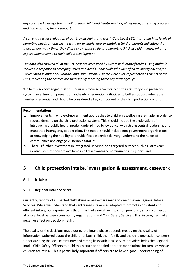day care and kindergarten as well as early childhood health services, playgroups, parenting program, and home visiting family support.

A current internal evaluation of our Browns Plains and North Gold Coast EYCs has found high levels of parenting needs among clients with, for example, approximately a third of parents indicating that there where many times they didn't know what to do as a parent. A third also didn't know what to expect when it came to their child's development.

The data also showed all of the EYC services were used by clients with many families using multiple services in response to emerging issues and needs. Individuals who identified as Aboriginal and/or Torres Strait Islander or Culturally and Linguistically Diverse were over-represented as clients of the EYCs, indicating the centres are successfully reaching these key target groups.

While it is acknowledged that this Inquiry is focused specifically on the statutory child protection system, investment in prevention and early intervention initiatives to better support vulnerable families is essential and should be considered a key component of the child protection continuum.

#### Recommendations

- 1. Improvements in whole-of-government approaches to children's wellbeing are made in order to reduce demand on the child protection system. This should include the exploration of introducing a public health model, underpinned by evidence, with strong central leadership and mandated interagency cooperation. The model should include non-government organisations, acknowledging their ability to provide flexible service delivery, understand the needs of communities and engage vulnerable families.
- 2. There is further investment in integrated universal and targeted services such as Early Years Centres so that they are available in all disadvantaged communities in Queensland.

# 5 Child protection intake, investigation & assessment, casework

# **5.1 Intake**

# 5.1.1 Regional Intake Services

Currently, reports of suspected child abuse or neglect are made to one of seven Regional Intake Services. While we understand that centralised intake was adopted to promote consistent and efficient intake, our experience is that it has had a negative impact on previously strong connections at a local level between community organisations and Child Safety Services. This, in turn, has had a negative effect on decision-making.

The quality of the decisions made during the intake phase depends greatly on the quality of information gathered about the child or unborn child, their family and the child protection concerns.<sup>v</sup> Understanding the local community and strong links with local service providers helps the Regional Intake Child Safety Officers to build this picture and to find appropriate solutions for families whose children are at risk. This is particularly important if officers are to have a good understanding of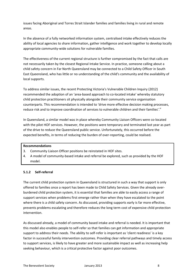issues facing Aboriginal and Torres Strait Islander families and families living in rural and remote areas.

In the absence of a fully networked information system, centralised intake effectively reduces the ability of local agencies to share information, gather intelligence and work together to develop locally appropriate community-wide solutions for vulnerable families.

The effectiveness of the current regional structure is further compromised by the fact that calls are not necessarily taken by the closest Regional Intake Service. In practice, someone calling about a child safety concern in Far North Queensland may be connected to a Child Safety Officer in South East Queensland, who has little or no understanding of the child's community and the availability of local supports.

To address similar issues, the recent Protecting Victoria's Vulnerable Children Inquiry (2012) recommended the adoption of an 'area-based approach to co-located intake' whereby statutory child protection practitioners sit physically alongside their community service organisation counterparts. This recommendation is intended to 'drive more effective decision making processes, reduce risk and to improve coordination of services to vulnerable children and their families'.<sup>vi</sup>

In Queensland, a similar model was in place whereby Community Liaison Officers were co-located with the pilot HOF services. However, the positions were temporary and terminated last year as part of the drive to reduce the Queensland public service. Unfortunately, this occurred before the expected benefits, in terms of reducing the burden of over-reporting, could be realised.

#### Recommendations

- 3. Community Liaison Officer positions be reinstated in HOF sites.
- 4. A model of community-based intake and referral be explored, such as provided by the HOF model.

## 5.1.2 Self-referral

The current child protection system in Queensland is structured in such a way that support is only offered to families once a report has been made to Child Safety Services. Given the already overburdened child protection system, it is essential that families are able to easily access a range of support services when problems first emerge rather than when they have escalated to the point where there is a child safety concern. As discussed, providing supports early is far more effective, prevents problems escalating and therefore reduces the long term cost of expensive child protection intervention.

As discussed already, a model of community based intake and referral is needed. It is important that this model also enables people to self-refer so that families can get information and appropriate support to address their needs. The ability to self-refer is important as 'client readiness' is a key factor in successful family intervention outcomes. Providing clear referral pathways and timely access to support services, is likely to have greater and more sustainable impact as well as increasing help seeking behaviour, which is a critical protective factor against poor outcomes.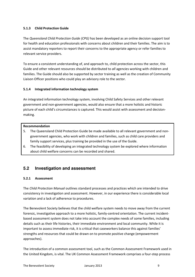# 5.1.3 Child Protection Guide

The Queensland Child Protection Guide (CPG) has been developed as an online decision support tool for health and education professionals with concerns about children and their families. The aim is to assist mandatory reporters to report their concerns to the appropriate agency or refer families to relevant service providers.

To ensure a consistent understanding of, and approach to, child protection across the sector, this Guide and other relevant resources should be distributed to all agencies working with children and families. The Guide should also be supported by sector training as well as the creation of Community Liaison Officer positions who could play an advisory role to the sector.

# 5.1.4 Integrated information technology system

An integrated information technology system, involving Child Safety Services and other relevant government and non-government agencies, would also ensure that a more holistic and historic picture of each child's circumstances is captured. This would assist with assessment and decisionmaking.

# Recommendation

- 5. The Queensland Child Protection Guide be made available to all relevant government and nongovernment agencies, who work with children and families, such as child care providers and family support services, plus training be provided in the use of the Guide.
- 6. The feasibility of developing an integrated technology system be explored where information about child welfare concerns can be recorded and shared.

# **5.2 Investigation and assessment**

# 5.2.1 Assessment

The Child Protection Manual outlines standard processes and practices which are intended to drive consistency in investigation and assessment. However, in our experience there is considerable local variation and a lack of adherence to procedures.

The Benevolent Society believes that the child welfare system needs to move away from the current forensic, investigative approach to a more holistic, family-centred orientation. The current incidentbased assessment system does not take into account the complex needs of some families, including details such as their life histories, their immediate environment and local community. While it is important to assess immediate risk, it is critical that caseworkers balance this against families' strengths and resources that could be drawn on to promote positive change (empowerment approaches).

The introduction of a common assessment tool, such as the Common Assessment Framework used in the United Kingdom, is vital. The UK Common Assessment Framework comprises a four-step process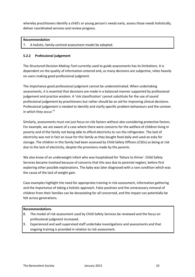whereby practitioners identify a child's or young person's needs early, assess those needs holistically, deliver coordinated services and review progress.

#### Recommendation

7. A holistic, family-centred assessment model be adopted.

#### 5.2.2 Professional judgement

The Structured Decision Making Tool currently used to guide assessments has its limitations. It is dependent on the quality of information entered and, as many decisions are subjective, relies heavily on users making good professional judgment.

The importance good professional judgment cannot be underestimated. When undertaking assessments, it is essential that decisions are made in a balanced manner supported by professional judgement and practice wisdom. A 'risk classification' cannot substitute for the use of sound professional judgement by practitioners but rather should be an aid for improving clinical decisions. Professional judgement is needed to identify and clarify specific problem behaviours and the context in which they occur.<sup>vii</sup>

Similarly, assessments must not just focus on risk factors without also considering protective factors. For example, we are aware of a case where there were concerns for the welfare of children living in poverty and of the family not being able to afford electricity to run the refrigerator. The lack of electricity was not in fact an issue for this family as they bought food daily and used an esky for storage. The children in this family had been assessed by Child Safety Officers (CSOs) as being at risk due to the lack of electricity, despite the provisions made by the parents.

We also know of an underweight infant who was hospitalised for 'failure to thrive'. Child Safety Services became involved because of concerns that this was due to parental neglect, before first exploring other possible explanations. The baby was later diagnosed with a rare condition which was the cause of the lack of weight gain.

Case examples highlight the need for appropriate training in risk assessment, information gathering and the importance of taking a holistic approach. False positives and the unnecessary removal of children from their families can be devastating for all concerned, and the impact can potentially be felt across generations.

#### Recommendations

- 8. The model of risk assessment used by Child Safety Services be reviewed and the focus on professional judgment increased.
- 9. Experienced and well supervised staff undertake investigations and assessments and that ongoing training is provided in relation to risk assessment.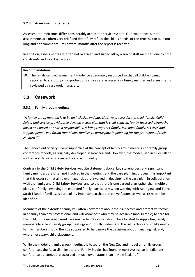# 5.2.3 Assessment timeframe

Assessment timeframes differ considerably across the service system. Our experience is that assessments are often very brief and don't fully reflect the child's needs, or the process can take too long and not commence until several months after the report is received.

In addition, assessments are often not overseen and signed off by a senior staff member, due to time constraints and workload issues.

#### Recommendation

10. The family centred assessment model be adequately resourced so that all children being reported to statutory child protection services are assessed in a timely manner and assessments reviewed by casework managers.

# **5.3 Casework**

#### 5.3.1 Family group meetings

"A family group meeting is to be an inclusive and participative process for the child, family, Child Safety and service providers, to develop a case plan that is child-centred, family-focussed, strengthsbased and based on shared responsibility. It brings together family, extended family, services and support people in a forum that allows families to participate in planning for the protection of their children."viii

The Benevolent Society is very supportive of the concept of family group meetings or family group conference models, as originally developed in New Zealand. However, the model used in Queensland is often not delivered consistently and with fidelity.

Contrary to the Child Safety Services website statement above, key stakeholders and significant family members are often not involved in the meetings and the case planning process. It is important that this occur so that all relevant agencies are involved in developing the case plan, in collaboration with the family and Child Safety Services, and so that there is one agreed plan rather than multiple plans per family. Involving the extended family, particularly when working with Aboriginal and Torres Strait Islander families, is particularly important so that protective factors, as well as risks, can be identified.

Members of the extended family will often know more about the risk factors and protective factors in a family than any professional, and will know best who may be available (and suitable) to care for the child, if the natural parents are unable to. Resources should be allocated to supporting family members to attend family group meetings and to fully understand the risk factors and child's needs. Family members should then be supported to help make the decisions about managing risk and, where necessary, child placement.

While the model of family group meetings is based on the New Zealand model of family group conferences, the Australian Institute of Family Studies has found in most Australian jurisdictions conference outcomes are accorded a much lower status than in New Zealand.<sup>ix</sup>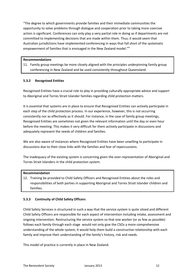"The degree to which governments provide families and their immediate communities the opportunity to solve problems through dialogue and cooperation prior to taking more coercive action is significant. Conferences can only play a very partial role in doing so if departments are not committed to implementing decisions that are made within them. Thus, it would seem that Australian jurisdictions have implemented conferencing in ways that fall short of the systematic empowerment of families that is envisaged in the New Zealand model."<sup>ix</sup>

#### Recommendations

11. Family group meetings be more closely aligned with the principles underpinning family group conferencing in New Zealand and be used consistently throughout Queensland.

#### 5.3.2 Recognised Entities

Recognised Entities have a crucial role to play in providing culturally appropriate advice and support to Aboriginal and Torres Strait Islander families regarding child protection matters.

It is essential that systems are in place to ensure that Recognised Entities can actively participate in each step of the child protection process. In our experience, however, this is not occurring consistently nor as effectively as it should. For instance, in the case of family group meetings, Recognised Entities are sometimes not given the relevant information until the day or even hour before the meeting. This makes it very difficult for them actively participate in discussions and adequately represent the needs of children and families.

We are also aware of instances where Recognised Entities have been unwilling to participate in discussions due to their close links with the families and fear of repercussions.

The inadequacy of the existing system is concerning given the over-representation of Aboriginal and Torres Strait Islanders in the child protection system.

#### Recommendation

12. Training be provided to Child Safety Officers and Recognised Entities about the roles and responsibilities of both parties in supporting Aboriginal and Torres Strait Islander children and families.

# 5.3.3 Continuity of Child Safety Officers

Child Safety Services is structured in such a way that the service system is quite siloed and different Child Safety Officers are responsible for each aspect of intervention including intake, assessment and ongoing intervention. Restructuring the service system so that one worker (or as few as possible) follows each family through each stage would not only give the CSOs a more comprehensive understanding of the whole system, it would help them build a constructive relationship with each family and improve their understanding of the family's history, risk and needs.

This model of practice is currently in place in New Zealand.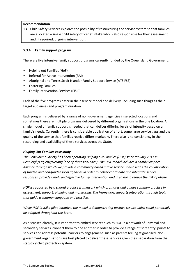#### Recommendation

13. Child Safety Services explores the possibility of restructuring the service system so that families are allocated a single child safety officer at intake who is also responsible for their assessment and, if required, ongoing intervention.

# 5.3.4 Family support program

There are five intensive family support programs currently funded by the Queensland Government:

- Helping out Families (HoF)
- **Referral for Active Intervention (RAI)**
- Aboriginal and Torres Strait Islander Family Support Service (ATSIFSS)
- **F** Fostering Families
- Family Intervention Services (FIS). $^{x}$

Each of the five programs differ in their service model and delivery, including such things as their target audiences and program duration.

Each program is delivered by a range of non-government agencies in selected locations and sometimes there are multiple programs delivered by different organisations in the one location. A single model of family support is needed that can deliver differing levels of intensity based on a family's needs. Currently, there is considerable duplication of effort, some large service gaps and the quality of the service that families receive differs markedly. There also is no consistency in the resourcing and availability of these services across the State.

#### Helping Out Families case study

The Benevolent Society has been operating Helping out Families (HOF) since January 2011 in Beenleigh/Eagleby/Nerang (one of three trial sites). The HOF model includes a Family Support Alliance through which we provide a community based intake service. It also leads the collaboration of funded and non-funded local agencies in order to better coordinate and integrate service responses, provide timely and effective family intervention and in so doing reduce the risk of abuse. .

HOF is supported by a shared practice framework which promotes and guides common practice in assessment, support, planning and monitoring. The framework supports integration through tools that guide a common language and practice.

While HOF is still a pilot initiative, the model is demonstrating positive results which could potentially be adopted throughout the State.

As discussed already, it is important to embed services such as HOF in a network of universal and secondary services, connect them to one another in order to provide a range of 'soft entry' points to services and address potential barriers to engagement, such as parents feeling stigmatised. Nongovernment organisations are best placed to deliver these services given their separation from the statutory child protection system.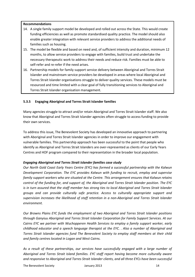#### Recommendations

- 14. A single family support model be developed and rolled out across the State. This would create funding efficiencies as well as promote standardised quality practice. The model should also enable greater integration with relevant service providers to address the additional needs of families such as housing.
- 15. The model be flexible and based on need and, of sufficient intensity and duration, minimum 12 months, to allow service providers to engage with families, build trust and undertake the necessary therapeutic work to address their needs and reduce risk. Families must be able to self-refer and re-refer if the need arises.
- 16. Partnership models for family support service delivery between Aboriginal and Torres Strait Islander and mainstream service providers be developed in areas where local Aboriginal and Torres Strait Islander organisations struggle to deliver quality services. These models must be resourced and time limited with a clear goal of fully transitioning services to Aboriginal and Torres Strait Islander organisation management.

# 5.3.5 Engaging Aboriginal and Torres Strait Islander families

Many agencies struggle to attract and/or retain Aboriginal and Torres Strait Islander staff. We also know that Aboriginal and Torres Strait Islander agencies often struggle to access funding to provide their own services.

To address this issue, The Benevolent Society has developed an innovative approach to partnering with Aboriginal and Torres Strait Islander agencies in order to improve our engagement with vulnerable families. This partnership approach has been successful to the point that people who identify as Aboriginal and Torres Strait Islanders are over-represented as clients of our Early Years Centres and HOF program compared to their representation in the broader local population.

# Engaging Aboriginal and Torres Strait Islander families case study

Our North Gold Coast Early Years Centre (EYC) has formed a successful partnership with the Kalwun Development Corporation. The EYC provides Kalwun with funding to recruit, employ and supervise family support workers who are situated at the Centre. This arrangement ensures that Kalwun retains control of the funding for, and support of, the Aboriginal and Torres Strait Islander position. The EYC is in turn assured that the staff member has strong ties to local Aboriginal and Torres Strait Islander groups and can provide culturally safe practice. Access to culturally appropriate support and supervision increases the likelihood of staff retention in a non-Aboriginal and Torres Strait Islander environment.

Our Browns Plains EYC funds the employment of two Aboriginal and Torres Strait Islander positions through Ganyiuu Aboriginal and Torres Strait Islander Corporation for Family Support Services. At our Cairns EYC we partner with Wuchopperen Health Services to employ a family support worker, early childhood educator and a speech language therapist at the EYC. . Also a number of Aboriginal and Torres Strait Islander agencies fund The Benevolent Society to employ staff members at their child and family centres located in Logan and West Cairns.

As a result of these partnerships, our services have successfully engaged with a large number of Aboriginal and Torres Strait Island families. EYC staff report having become more culturally aware and responsive to Aboriginal and Torres Strait Islander clients, and all three EYCs have been successful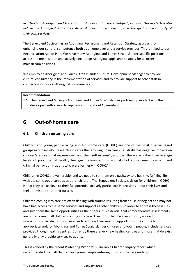in attracting Aboriginal and Torres Strait Islander staff in non-identified positions. This model has also helped the Aboriginal and Torres Strait Islander organisations improve the quality and capacity of their own services.

The Benevolent Society has an Aboriginal Recruitment and Retention Strategy as a basis for enhancing our cultural competence both as an employer and a service provider. This is linked to our Reconciliation Action Plan. We have many Aboriginal and Torres Strait Islander-specific positions across the organisation and actively encourage Aboriginal applicants to apply for all other mainstream positions.

We employ an Aboriginal and Torres Strait Islander Cultural Development Manager to provide cultural consultancy in the implementation of services and to provide support to other staff in connecting with local Aboriginal communities.

#### Recommendation

17. The Benevolent Society's Aboriginal and Torres Strait Islander partnership model be further developed with a view to replication throughout Queensland.

# **6 Out-of-home care**

# 6.1 Children entering care

Children and young people living in out-of-home care (OOHC) are one of the most disadvantaged groups in our society. Research indicates that growing up in care in Australia has negative impacts on children's educational experiences<sup>xi</sup> and their self esteem<sup>xii</sup>, and that there are higher than average levels of poor mental health, teenage pregnancy, drug and alcohol abuse, unemployment and criminal behaviour in adults who were formerly in OOHC.<sup>xiii</sup>

Children in OOHC are vulnerable, and we need to set them on a pathway to a healthy, fulfilling life with the same opportunities as other children. The Benevolent Society's vision for children in OOHC is that they are achieve to their full potential, actively participate in decisions about their lives and feel optimistic about their futures.

Children coming into care are often dealing with trauma resulting from abuse or neglect and may not have had access to the same services and support as other children. In order to address these issues and give them the same opportunities as their peers, it is essential that comprehensive assessments are undertaken of all children coming into care. They must then be given priority access to wraparound specialist support services to address their needs. Supports must be culturally appropriate and, for Aboriginal and Torres Strait Islander children and young people, include services provided though healing centres. Currently there are very few healing centres and those that do exist generally only provide services to adults.

This is echoed by the recent Protecting Victoria's Vulnerable Children Inquiry report which recommended that 'all children and young people entering out-of-home care undergo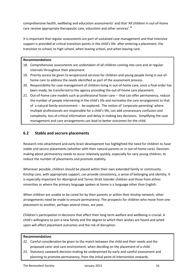comprehensive health, wellbeing and education assessments' and that 'All children in out-of-home care receive appropriate therapeutic care, education and other services'.<sup>vi</sup>

It is important that regular assessments are part of sustained case management and that intensive support is provided at critical transition points in the child's life: after entering a placement, the transition to school, to high school, when leaving school, and when leaving care.

#### Recommendations

- 18. Comprehensive assessments are undertaken of all children coming into care and at regular intervals throughout their placement.
- 19. Priority access be given to wraparound services for children and young people living in out-ofhome care to address the needs identified as part of the assessment process.
- 20. Responsibility for case management of children living in out-of-home care, once a final order has been made, be transferred to the agency providing the out-of-home care placement.
- 21. Out-of-home care models such as professional foster care  $-$  that can offer permanency, reduce the number of people intervening in the child's life and normalise the care arrangement to that of a natural family environment - be explored. The notion of 'corporate parenting' where multiple professionals are responsible for a child's life, can add unnecessary confusion and complexity, loss of critical information and delay in making key decisions. Simplifying the case management and care arrangements can lead to better outcomes for the child.

# 6.2 Stable and secrure placements

Research into attachment and early brain development has highlighted the need for children to have stable and secure placements (whether with their natural parents or in out-of-home care). Decisionmaking about permanency needs to occur relatively quickly, especially for very young children, to reduce the number of placements and promote stability.

Wherever possible, children should be placed within their own extended family or community. Kinship care, with appropriate support, can provide consistency, a sense of belonging and identity. It is especially important for Aboriginal and Torres Strait Islander children and those from ethnic minorities or where the primary language spoken at home is a language other than English.

When children are unable to be cared for by their parents or within their kinship network, other arrangements need be made to ensure permanency. The prospects for children who move from one placement to another, perhaps several times, are poor.

Children's participation in decisions that affect their long-term welfare and wellbeing is crucial. A child's willingness to join a new family and the degree to which their wishes are heard and acted upon will affect placement outcomes and the risk of disruption.

#### Recommendations

- 22. Careful consideration be given to the match between the child and their needs and the proposed carer and care environment, when deciding on the placement of a child.
- 23. Statutory casework decision making be underpinned by early and careful assessment and planning to promote permanency, from the initial point of intervention onwards.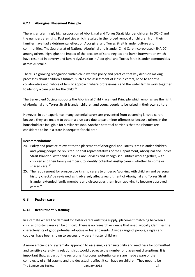# 6.2.1 Aboriginal Placement Principle

There is an alarmingly high proportion of Aboriginal and Torres Strait Islander children in OOHC and the numbers are rising. Past policies which resulted in the forced removal of children from their families have had a detrimental effect on Aboriginal and Torres Strait Islander culture and communities. The Secretariat of National Aboriginal and Islander Child Care Incorporated (SNAICC), among others, highlights the impact of the decades of state neglect and harsh intervention which have resulted in poverty and family dysfunction in Aboriginal and Torres Strait Islander communities across Australia.

There is a growing recognition within child welfare policy and practice that key decision making processes about children's futures, such as the assessment of kinship carers, need to adopt a collaborative and 'whole of family' approach where professionals and the wider family work together to identify a care plan for the child. ${}^{xiv}$ 

The Benevolent Society supports the Aboriginal Child Placement Principle which emphasises the right of Aboriginal and Torres Strait Islander children and young people to be raised in their own culture.

However, in our experience, many potential carers are prevented from becoming kinship carers because they are unable to obtain a blue card due to past minor offences or because others in the household are ineligible for similar reasons. Another potential barrier is that their homes are considered to be in a state inadequate for children.

# Recommendations

- 24. Policy and practice relevant to the placement of Aboriginal and Torres Strait Islander children and young people be revisited so that representatives of the Department, Aboriginal and Torres Strait Islander Foster and Kinship Care Services and Recognised Entities work together, with children and their family members, to identify potential kinship carers (whether full-time or shared care).<sup>xv</sup>
- 25. The requirement for prospective kinship carers to undergo 'working with children and personal history checks' be reviewed as it adversely affects recruitment of Aboriginal and Torres Strait Islander extended family members and discourages them from applying to become approved carers. xv

# 6.3 Foster care

# 6.3.1 Recruitment & training

In a climate where the demand for foster carers outstrips supply, placement matching between a child and foster carer can be difficult. There is no research evidence that unequivocally identifies the characteristics of good potential adoptive or foster parents. A wide range of people, singles and couples, have been shown to successfully parent foster children.

The Benevolent Society **Society** January 2013 17 A more efficient and systematic approach to assessing carer suitability and readiness for committed and sensitive care-giving relationships would decrease the number of placement disruptions. It is important that, as part of the recruitment process, potential carers are made aware of the complexity of child trauma and the devastating affect it can have on children. They need to be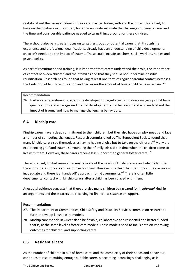realistic about the issues children in their care may be dealing with and the impact this is likely to have on their behaviour. Too often, foster carers underestimate the challenges of being a carer and the time and considerable patience needed to turns things around for these children.

There should also be a greater focus on targeting groups of potential carers that, through life experience and professional qualifications, already have an understanding of child development, children's needs and the impact of trauma. These could include teachers, social workers, nurses and psychologists.

As part of recruitment and training, it is important that carers understand their role, the importance of contact between children and their families and that they should not undermine possible reunification. Research has found that having at least one form of regular parental contact increases the likelihood of family reunification and decreases the amount of time a child remains in care.<sup>xviii</sup>

#### Recommendation

26. Foster care recruitment programs be developed to target specific professional groups that have qualifications and a background in child development, child behaviour and who understand the impact of trauma and how to manage challenging behaviours.

# 6.4 Kinship care

Kinship carers have a deep commitment to their children, but they also have complex needs and face a number of competing challenges. Research commissioned by The Benevolent Society found that many kinship carers see themselves as having had no choice but to take on the children.<sup>xvi</sup> Many are experiencing grief and trauma surrounding their family crisis at the time when the children come to live with them. However, these carers receive less support than general foster carers.<sup>XVI</sup>

There is, as yet, limited research in Australia about the needs of kinship carers and which identifies the appropriate supports and resources for them. However it is clear that the support they receive is inadequate and there is a 'hands off' approach from Governments.<sup>xvii</sup> There is often little departmental contact with kinship carers after a child has been placed with them.

Anecdotal evidence suggests that there are also many children being cared for in *informal* kinship arrangements and these carers are receiving no financial assistance or support.

#### Recommendations

- 27. The Department of Communities, Child Safety and Disability Services commission research to further develop kinship care models.
- 28. Kinship care models in Queensland be flexible, collaborative and respectful and better-funded, that is, at the same level as foster care models. These models need to focus both on improving outcomes for children, and supporting carers.

# 6.5 Residential care

As the number of children in out-of-home care, and the complexity of their needs and behaviour, continues to rise, recruiting enough suitable carers is becoming increasingly challenging as is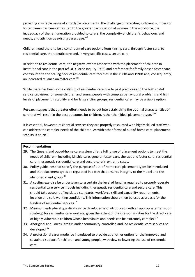providing a suitable range of affordable placements. The challenge of recruiting sufficient numbers of foster carers has been attributed to the greater participation of women in the workforce, the inadequacy of the remuneration provided to carers, the complexity of children's behaviours and needs, and attrition as existing carers age.<sup>xviii</sup>

Children need there to be a continuum of care options from kinship care, through foster care, to residential care, therapeutic care and, in very specific cases, secure care.

In relation to residential care, the negative events associated with the placement of children in institutional care in the past (cf QLD Forde Inquiry 1998) and preference for family-based foster care contributed to the scaling back of residential care facilities in the 1980s and 1990s and, consequently, an increased reliance on foster care.<sup>xix</sup>

While there has been some criticism of residential care due to past practices and the high costof service provision, for some children and young people with complex behavioural problems and high levels of placement instability and for large sibling groups, residential care may be a viable option.

Research suggests that greater effort needs to be put into establishing the optimal characteristics of care that will result in the best outcomes for children, rather than ideal placement type. xviii

It is essential, however, residential services they are properly resourced with highly skilled staff who can address the complex needs of the children. As with other forms of out-of-home care, placement stablity is crucial.

#### Recommendations

- 29. The Queensland out-of-home care system offer a full range of placement options to meet the needs of children– including kinship care, general foster care, therapeutic foster care, residential care, therapeutic residential care and secure care in extreme cases.
- 30. Policy guidelines that specify the purpose of out-of-home care placement types be introduced and that placement types be regulated in a way that ensures integrity to the model and the identified client group.<sup>xv</sup>
- 31. A costing exercise be undertaken to ascertain the level of funding required to properly operate residential care service models including therapeutic residential care and secure care. This should take account of legislated standards, workforce skill and capability requirements, location and safe working conditions. This information should then be used as a basis for the funding of residential services. <sup>xv</sup>
- 32. Minimum entry-level qualifications be developed and introduced (with an appropriate transition strategy) for residential care workers, given the extent of their responsibilities for the direct care of highly vulnerable children whose behaviours and needs can be extremely complex.<sup>xv</sup>
- 33. Aboriginal and Torres Strait Islander community-controlled and led residential care services be developed.<sup>xv</sup>
- 34. A professional carer model be introduced to provide as another option for the improved and sustained support for children and young people, with view to lowering the use of residential care.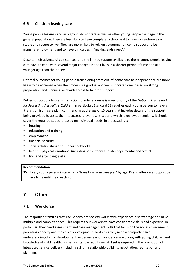# 6.6 Children leaving care

Young people leaving care, as a group, do not fare as well as other young people their age in the general population. They are less likely to have completed school and to have somewhere safe, stable and secure to live. They are more likely to rely on government income support, to be in marginal employment and to have difficulties in 'making ends meet'.<sup>xx</sup>

Despite their adverse circumstances, and the limited support available to them, young people leaving care have to cope with several major changes in their lives in a shorter period of time and at a younger age than their peers.

Optimal outcomes for young people transitioning from out-of-home care to independence are more likely to be achieved when the process is a gradual and well supported one, based on strong preparation and planning, and with access to tailored support.

Better support of childrens' transition to independence is a key priority of the National Framework for Protecting Australia's Children. In particular, Standard 13 requires each young person to have a 'transition from care plan' commencing at the age of 15 years that includes details of the support being provided to assist them to access relevant services and which is reviewed regularly. It should cover the required support, based on individual needs, in areas such as:

- **n** housing
- education and training
- employment
- **Financial security**
- social relationships and support networks
- health physical, emotional (including self esteem and identity), mental and sexual
- life (and after care) skills.

# Recommendation

35. Every young person in care has a 'transition from care plan' by age 15 and after care support be available until they reach 25.

# 7 Other

# 7.1 Workforce

The majority of families that The Benevolent Society works with experience disadvantage and have multiple and complex needs. This requires our workers to have considerable skills and expertise. In particular, they need assessment and case management skills that focus on the social environment, parenting capacity and the child's development. To do this they need a comprehensive understanding of child development, experience and confidence in working with young children and knowledge of child health. For senior staff, an additional skill set is required in the promotion of integrated service delivery including skills in relationship building, negotiation, facilitation and planning.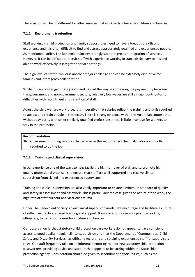The situation will be no different for other services that work with vulnerable children and families.

# 7.1.1 Recruitment & retention

Staff working in child protection and family support roles need to have a breadth of skills and experience and it is often difficult to find and attract appropriately qualified and experienced people. As mentioned earlier, The Benevolent Society strongly supports greater integration of services. However, it can be difficult to recruit staff with experience working in trans-disciplinary teams and able to work effectively in integrated service settings.

The high level of staff turnover is another major challenge and can be extremely disruptive for families and interagency collaboration.

While it is acknowledged that Queensland has led the way in addressing the pay inequity between the government and non-government sectors, relatively low wages are still a major contributor to difficulties with recruitment and retention of staff.

Across the child welfare workforce, it is imperative that salaries reflect the training and skills required to attract and retain people in the sector. There is strong evidence within the Australian context that without pay parity with other similarly qualified professions, there is little incentive for workers to stay in the profession.<sup>xxi</sup>

#### Recommendation

36. Government funding ensures that salaries in the sector reflect the qualifications and skills required to do the job.

#### 7.1.2 Training and clinical supervision

In our experience one of the ways to help tackle the high turnover of staff and to promote high quality professional practice, is to ensure that staff are well supported and receive clinical supervision from skilled and experienced supervisors.

Training and clinical supervision are also vitally important to ensure a minimum standard of quality and safety in assessment and casework. This is particularly the case given the nature of the work, the high rate of staff burnout and vicarious trauma.

Under The Benevolent Society's own clinical supervision model, we encourage and facilitate a culture of reflective practice, shared learning and support. It improves our casework practice leading, ultimately, to better outcomes for children and families.

Our observation is that statutory child protection caseworkers do not appear to have sufficient access to good quality, regular clinical supervision and that the Department of Communities, Child Safety and Disability Services has difficulty recruiting and retaining experienced staff for supervisory roles. Our staff frequently take on an informal mentoring role for new statutory child protection caseworkers, providing advice and support that appears to be lacking within the State child protection agency. Consideration should be given to secondment opportunities, such as the